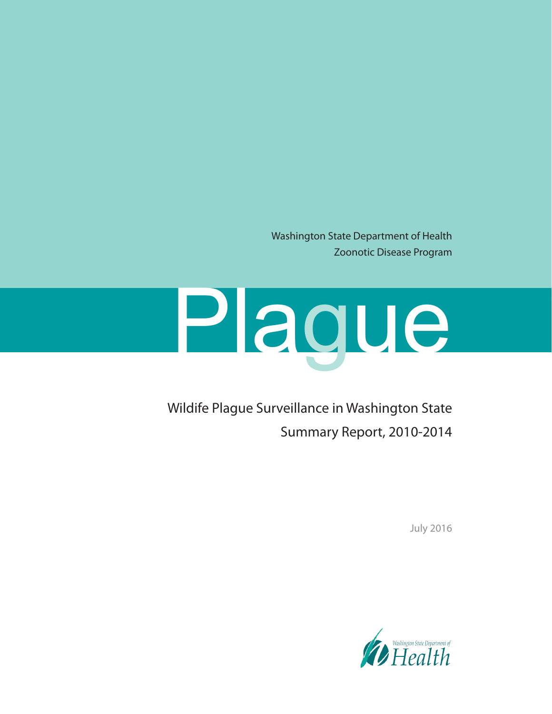Washington State Department of Health Zoonotic Disease Program

# Plague

Wildife Plague Surveillance in Washington State Summary Report, 2010-2014

July 2016

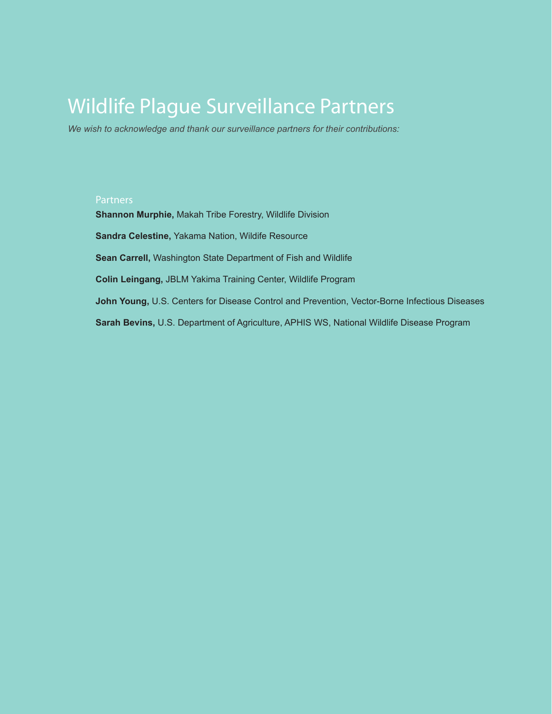# Wildlife Plague Surveillance Partners

*We wish to acknowledge and thank our surveillance partners for their contributions:*

#### Partners

**Shannon Murphie,** Makah Tribe Forestry, Wildlife Division **Sandra Celestine,** Yakama Nation, Wildife Resource **Sean Carrell,** Washington State Department of Fish and Wildlife **Colin Leingang,** JBLM Yakima Training Center, Wildlife Program **John Young,** U.S. Centers for Disease Control and Prevention, Vector-Borne Infectious Diseases **Sarah Bevins,** U.S. Department of Agriculture, APHIS WS, National Wildlife Disease Program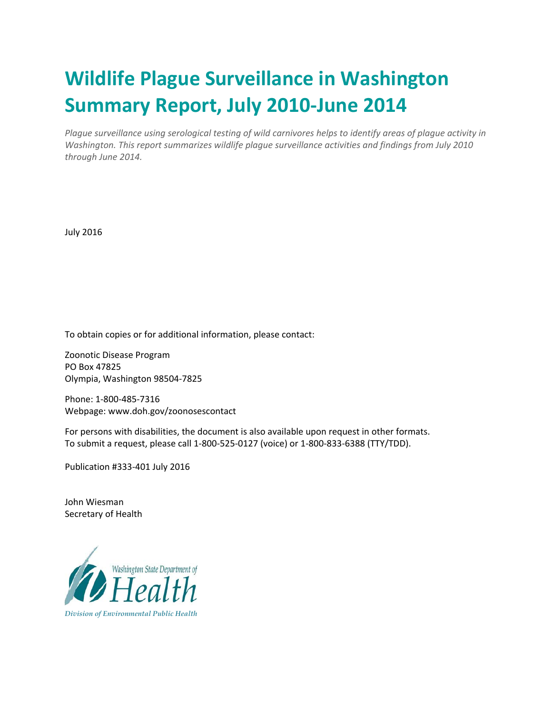# **Wildlife Plague Surveillance in Washington Summary Report, July 2010‐June 2014**

*Plague surveillance using serological testing of wild carnivores helps to identify areas of plague activity in Washington. This report summarizes wildlife plague surveillance activities and findings from July 2010 through June 2014.*

July 2016

To obtain copies or for additional information, please contact:

Zoonotic Disease Program PO Box 47825 Olympia, Washington 98504‐7825

Phone: 1‐800‐485‐7316 Webpage: www.doh.gov/zoonosescontact

For persons with disabilities, the document is also available upon request in other formats. To submit a request, please call 1‐800‐525‐0127 (voice) or 1‐800‐833‐6388 (TTY/TDD).

Publication #333‐401 July 2016

John Wiesman Secretary of Health

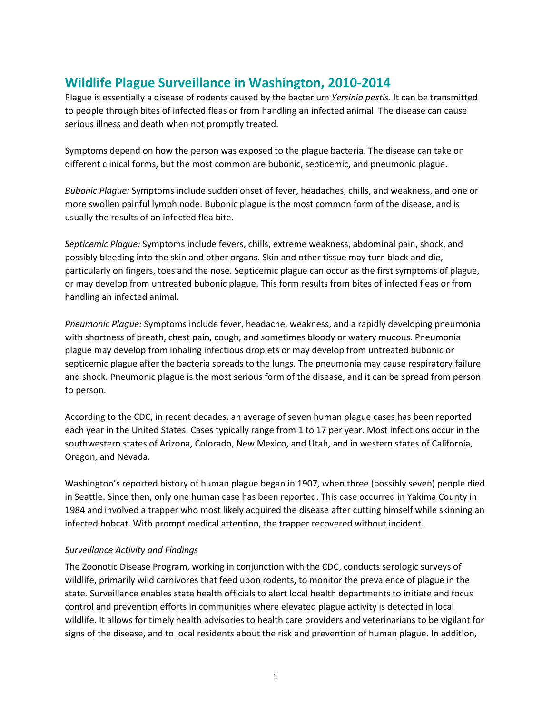# **Wildlife Plague Surveillance in Washington, 2010-2014**

Plague is essentially a disease of rodents caused by the bacterium *Yersinia pestis*. It can be transmitted to people through bites of infected fleas or from handling an infected animal. The disease can cause serious illness and death when not promptly treated.

Symptoms depend on how the person was exposed to the plague bacteria. The disease can take on different clinical forms, but the most common are bubonic, septicemic, and pneumonic plague.

*Bubonic Plague:* Symptoms include sudden onset of fever, headaches, chills, and weakness, and one or more swollen painful lymph node. Bubonic plague is the most common form of the disease, and is usually the results of an infected flea bite.

*Septicemic Plague:* Symptoms include fevers, chills, extreme weakness, abdominal pain, shock, and possibly bleeding into the skin and other organs. Skin and other tissue may turn black and die, particularly on fingers, toes and the nose. Septicemic plague can occur as the first symptoms of plague, or may develop from untreated bubonic plague. This form results from bites of infected fleas or from handling an infected animal.

*Pneumonic Plague:* Symptoms include fever, headache, weakness, and a rapidly developing pneumonia with shortness of breath, chest pain, cough, and sometimes bloody or watery mucous. Pneumonia plague may develop from inhaling infectious droplets or may develop from untreated bubonic or septicemic plague after the bacteria spreads to the lungs. The pneumonia may cause respiratory failure and shock. Pneumonic plague is the most serious form of the disease, and it can be spread from person to person.

According to the CDC, in recent decades, an average of seven human plague cases has been reported each year in the United States. Cases typically range from 1 to 17 per year. Most infections occur in the southwestern states of Arizona, Colorado, New Mexico, and Utah, and in western states of California, Oregon, and Nevada.

Washington's reported history of human plague began in 1907, when three (possibly seven) people died in Seattle. Since then, only one human case has been reported. This case occurred in Yakima County in 1984 and involved a trapper who most likely acquired the disease after cutting himself while skinning an infected bobcat. With prompt medical attention, the trapper recovered without incident.

## *Surveillance Activity and Findings*

The Zoonotic Disease Program, working in conjunction with the CDC, conducts serologic surveys of wildlife, primarily wild carnivores that feed upon rodents, to monitor the prevalence of plague in the state. Surveillance enables state health officials to alert local health departments to initiate and focus control and prevention efforts in communities where elevated plague activity is detected in local wildlife. It allows for timely health advisories to health care providers and veterinarians to be vigilant for signs of the disease, and to local residents about the risk and prevention of human plague. In addition,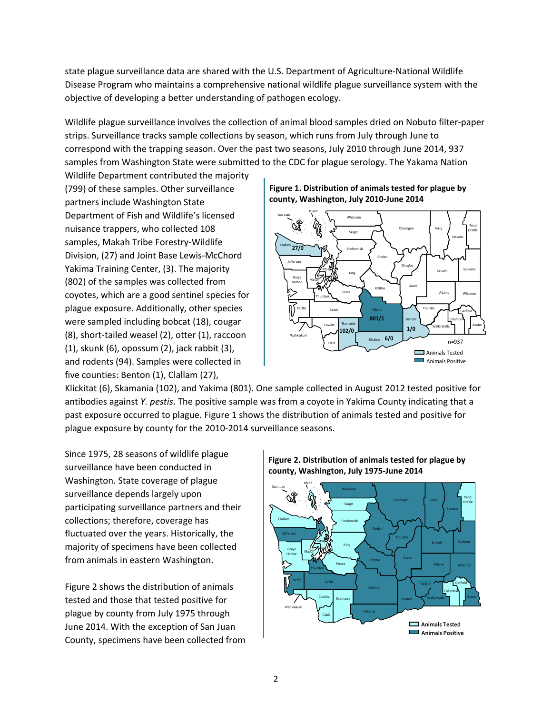state plague surveillance data are shared with the U.S. Department of Agriculture‐National Wildlife Disease Program who maintains a comprehensive national wildlife plague surveillance system with the objective of developing a better understanding of pathogen ecology.

Wildlife plague surveillance involves the collection of animal blood samples dried on Nobuto filter‐paper strips. Surveillance tracks sample collections by season, which runs from July through June to correspond with the trapping season. Over the past two seasons, July 2010 through June 2014, 937 samples from Washington State were submitted to the CDC for plague serology. The Yakama Nation

Wildlife Department contributed the majority (799) of these samples. Other surveillance partners include Washington State Department of Fish and Wildlife's licensed nuisance trappers, who collected 108 samples, Makah Tribe Forestry‐Wildlife Division, (27) and Joint Base Lewis‐McChord Yakima Training Center, (3). The majority (802) of the samples was collected from coyotes, which are a good sentinel species for plague exposure. Additionally, other species were sampled including bobcat (18), cougar (8), short‐tailed weasel (2), otter (1), raccoon (1), skunk (6), opossum (2), jack rabbit (3), and rodents (94). Samples were collected in five counties: Benton (1), Clallam (27),





Klickitat (6), Skamania (102), and Yakima (801). One sample collected in August 2012 tested positive for antibodies against *Y. pestis*. The positive sample was from a coyote in Yakima County indicating that a past exposure occurred to plague. Figure 1 shows the distribution of animals tested and positive for plague exposure by county for the 2010‐2014 surveillance seasons.

Since 1975, 28 seasons of wildlife plague surveillance have been conducted in Washington. State coverage of plague surveillance depends largely upon participating surveillance partners and their collections; therefore, coverage has fluctuated over the years. Historically, the majority of specimens have been collected from animals in eastern Washington.

Figure 2 shows the distribution of animals tested and those that tested positive for plague by county from July 1975 through June 2014. With the exception of San Juan County, specimens have been collected from



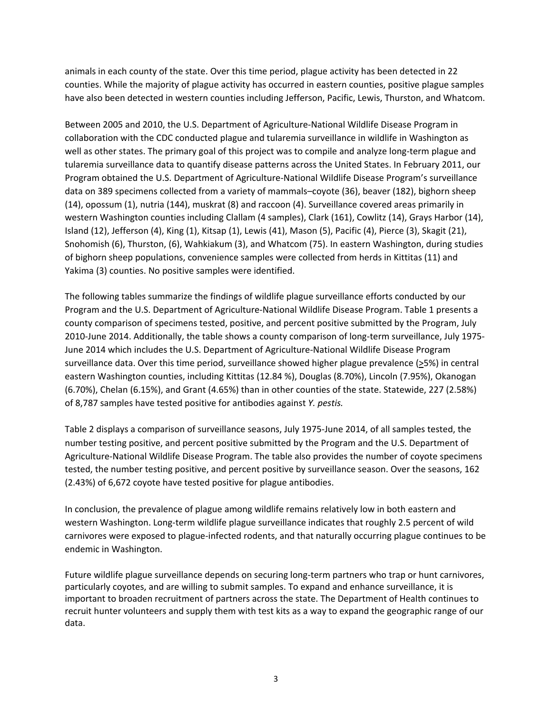animals in each county of the state. Over this time period, plague activity has been detected in 22 counties. While the majority of plague activity has occurred in eastern counties, positive plague samples have also been detected in western counties including Jefferson, Pacific, Lewis, Thurston, and Whatcom.

Between 2005 and 2010, the U.S. Department of Agriculture‐National Wildlife Disease Program in collaboration with the CDC conducted plague and tularemia surveillance in wildlife in Washington as well as other states. The primary goal of this project was to compile and analyze long-term plague and tularemia surveillance data to quantify disease patterns across the United States. In February 2011, our Program obtained the U.S. Department of Agriculture‐National Wildlife Disease Program's surveillance data on 389 specimens collected from a variety of mammals–coyote (36), beaver (182), bighorn sheep (14), opossum (1), nutria (144), muskrat (8) and raccoon (4). Surveillance covered areas primarily in western Washington counties including Clallam (4 samples), Clark (161), Cowlitz (14), Grays Harbor (14), Island (12), Jefferson (4), King (1), Kitsap (1), Lewis (41), Mason (5), Pacific (4), Pierce (3), Skagit (21), Snohomish (6), Thurston, (6), Wahkiakum (3), and Whatcom (75). In eastern Washington, during studies of bighorn sheep populations, convenience samples were collected from herds in Kittitas (11) and Yakima (3) counties. No positive samples were identified.

The following tables summarize the findings of wildlife plague surveillance efforts conducted by our Program and the U.S. Department of Agriculture‐National Wildlife Disease Program. Table 1 presents a county comparison of specimens tested, positive, and percent positive submitted by the Program, July 2010-June 2014. Additionally, the table shows a county comparison of long-term surveillance, July 1975-June 2014 which includes the U.S. Department of Agriculture‐National Wildlife Disease Program surveillance data. Over this time period, surveillance showed higher plague prevalence (>5%) in central eastern Washington counties, including Kittitas (12.84 %), Douglas (8.70%), Lincoln (7.95%), Okanogan (6.70%), Chelan (6.15%), and Grant (4.65%) than in other counties of the state. Statewide, 227 (2.58%) of 8,787 samples have tested positive for antibodies against *Y. pestis.*

Table 2 displays a comparison of surveillance seasons, July 1975‐June 2014, of all samples tested, the number testing positive, and percent positive submitted by the Program and the U.S. Department of Agriculture‐National Wildlife Disease Program. The table also provides the number of coyote specimens tested, the number testing positive, and percent positive by surveillance season. Over the seasons, 162 (2.43%) of 6,672 coyote have tested positive for plague antibodies.

In conclusion, the prevalence of plague among wildlife remains relatively low in both eastern and western Washington. Long‐term wildlife plague surveillance indicates that roughly 2.5 percent of wild carnivores were exposed to plague‐infected rodents, and that naturally occurring plague continues to be endemic in Washington.

Future wildlife plague surveillance depends on securing long-term partners who trap or hunt carnivores, particularly coyotes, and are willing to submit samples. To expand and enhance surveillance, it is important to broaden recruitment of partners across the state. The Department of Health continues to recruit hunter volunteers and supply them with test kits as a way to expand the geographic range of our data.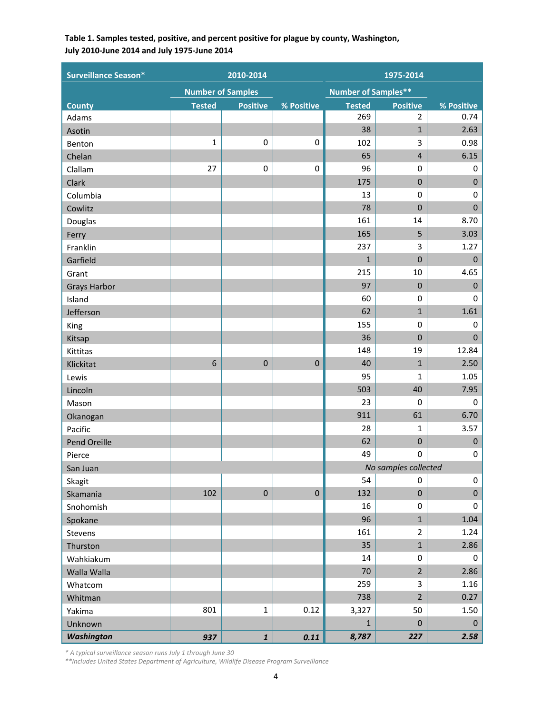## **Table 1. Samples tested, positive, and percent positive for plague by county, Washington, July 2010‐June 2014 and July 1975‐June 2014**

| <b>Surveillance Season*</b> |               | 2010-2014                |             | 1975-2014     |                            |              |  |
|-----------------------------|---------------|--------------------------|-------------|---------------|----------------------------|--------------|--|
|                             |               | <b>Number of Samples</b> |             |               | <b>Number of Samples**</b> |              |  |
| <b>County</b>               | <b>Tested</b> | <b>Positive</b>          | % Positive  | <b>Tested</b> | <b>Positive</b>            | % Positive   |  |
| Adams                       |               |                          |             | 269           | $\overline{2}$             | 0.74         |  |
| Asotin                      |               |                          |             | 38            | $\mathbf{1}$               | 2.63         |  |
| Benton                      | $\mathbf{1}$  | 0                        | $\mathbf 0$ | 102           | 3                          | 0.98         |  |
| Chelan                      |               |                          |             | 65            | $\overline{4}$             | 6.15         |  |
| Clallam                     | 27            | $\pmb{0}$                | 0           | 96            | $\mathbf 0$                | 0            |  |
| Clark                       |               |                          |             | 175           | $\mathbf 0$                | $\pmb{0}$    |  |
| Columbia                    |               |                          |             | 13            | $\mathbf 0$                | 0            |  |
| Cowlitz                     |               |                          |             | 78            | $\mathbf 0$                | $\mathbf 0$  |  |
| Douglas                     |               |                          |             | 161           | 14                         | 8.70         |  |
| Ferry                       |               |                          |             | 165           | 5                          | 3.03         |  |
| Franklin                    |               |                          |             | 237           | 3                          | 1.27         |  |
| Garfield                    |               |                          |             | $\mathbf 1$   | $\mathbf 0$                | $\pmb{0}$    |  |
| Grant                       |               |                          |             | 215           | 10                         | 4.65         |  |
| <b>Grays Harbor</b>         |               |                          |             | 97            | $\mathbf 0$                | $\mathbf{0}$ |  |
| Island                      |               |                          |             | 60            | $\mathbf 0$                | $\mathbf 0$  |  |
| Jefferson                   |               |                          |             | 62            | $\mathbf{1}$               | 1.61         |  |
| King                        |               |                          |             | 155           | 0                          | 0            |  |
| Kitsap                      |               |                          |             | 36            | $\mathbf 0$                | $\mathbf{0}$ |  |
| Kittitas                    |               |                          |             | 148           | 19                         | 12.84        |  |
| Klickitat                   | 6             | $\pmb{0}$                | $\pmb{0}$   | 40            | $\mathbf{1}$               | 2.50         |  |
| Lewis                       |               |                          |             | 95            | 1                          | 1.05         |  |
| Lincoln                     |               |                          |             | 503           | 40                         | 7.95         |  |
| Mason                       |               |                          |             | 23            | $\mathbf 0$                | $\mathbf 0$  |  |
| Okanogan                    |               |                          |             | 911           | 61                         | 6.70         |  |
| Pacific                     |               |                          |             | 28            | 1                          | 3.57         |  |
| Pend Oreille                |               |                          |             | 62            | $\boldsymbol{0}$           | $\pmb{0}$    |  |
| Pierce                      |               |                          |             | 49            | 0                          | 0            |  |
| San Juan                    |               |                          |             |               | No samples collected       |              |  |
| Skagit                      |               |                          |             | 54            | 0                          | $\pmb{0}$    |  |
| Skamania                    | 102           | $\pmb{0}$                | $\pmb{0}$   | 132           | $\pmb{0}$                  | $\pmb{0}$    |  |
| Snohomish                   |               |                          |             | 16            | $\pmb{0}$                  | 0            |  |
| Spokane                     |               |                          |             | 96            | $\mathbf{1}$               | 1.04         |  |
| Stevens                     |               |                          |             | 161           | $\overline{2}$             | 1.24         |  |
| Thurston                    |               |                          |             | 35            | $\mathbf{1}$               | 2.86         |  |
| Wahkiakum                   |               |                          |             | 14            | 0                          | 0            |  |
| Walla Walla                 |               |                          |             | 70            | $\overline{2}$             | 2.86         |  |
| Whatcom                     |               |                          |             | 259           | 3                          | 1.16         |  |
| Whitman                     |               |                          |             | 738           | $\overline{2}$             | 0.27         |  |
| Yakima                      | 801           | $\mathbf 1$              | 0.12        | 3,327         | 50                         | 1.50         |  |
| Unknown                     |               |                          |             | $\mathbf{1}$  | $\mathbf 0$                | $\mathbf 0$  |  |
| <b>Washington</b>           | 937           | $\pmb{1}$                | 0.11        | 8,787         | 227                        | 2.58         |  |

*\* A typical surveillance season runs July 1 through June 30* 

*\*\*Includes United States Department of Agriculture, Wildlife Disease Program Surveillance*